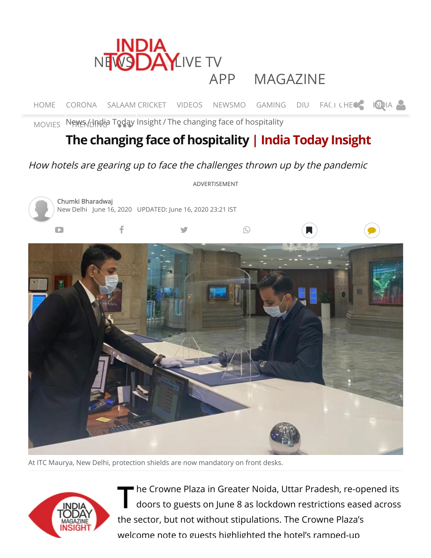

[HOME](https://www.indiatoday.in/) [CORONA](https://www.indiatoday.in/coronavirus) SALAAM CRICKET [VIDEOS](https://www.indiatoday.in/videos) [NEWSMO](https://www.indiatoday.in/newsmo) [GAMING](https://indiatodaygaming.gamezop.com/) [DIU](https://www.indiatoday.in/data-intelligence-unit) FACTICHECK [INDIA](https://www.indiatoday.in/india)

[MOVIES](https://www.indiatoday.in/movies) [News](https://www.indiatoday.in/) Hindia T[oday](javascript:void(0)) [Insight](https://www.indiatoday.in/india-today-magazine-insight) / The changing face of hospitality

# **The changing face of hospitality | India Today [Insight](https://www.indiatoday.in/india-today-magazine-insight)**

## How hotels are gearing up to face the challenges thrown up by the pandemic



At ITC Maurya, New Delhi, protection shields are now mandatory on front desks.



The Crowne Plaza in Greater Noida, Uttar Pradesh, re-opened its<br>doors to guests on June 8 as lockdown restrictions eased across doors to guests on June 8 as lockdown restrictions eased across the sector, but not without stipulations. The Crowne Plaza's welcome note to guests highlighted the hotel's ramped-up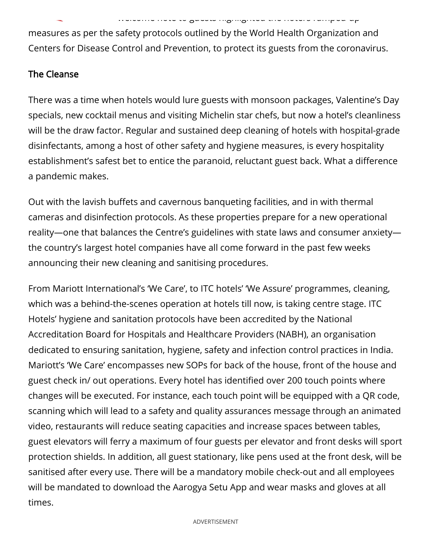welcome to guests highlighted the hotels ramped up

measures as per the safety protocols outlined by the World Health Organization and Centers for Disease Control and Prevention, to protect its guests from the coronavirus.

#### The Cleanse

There was a time when hotels would lure guests with monsoon packages, Valentine's Day specials, new cocktail menus and visiting Michelin star chefs, but now a hotel's cleanliness will be the draw factor. Regular and sustained deep cleaning of hotels with hospital-grade disinfectants, among a host of other safety and hygiene measures, is every hospitality establishment's safest bet to entice the paranoid, reluctant guest back. What a difference a pandemic makes.

Out with the lavish buffets and cavernous banqueting facilities, and in with thermal cameras and disinfection protocols. As these properties prepare for a new operational reality—one that balances the Centre's guidelines with state laws and consumer anxiety the country's largest hotel companies have all come forward in the past few weeks announcing their new cleaning and sanitising procedures.

From Mariott International's 'We Care', to ITC hotels' 'We Assure' programmes, cleaning, which was a behind-the-scenes operation at hotels till now, is taking centre stage. ITC Hotels' hygiene and sanitation protocols have been accredited by the National Accreditation Board for Hospitals and Healthcare Providers (NABH), an organisation dedicated to ensuring sanitation, hygiene, safety and infection control practices in India. Mariott's 'We Care' encompasses new SOPs for back of the house, front of the house and guest check in/ out operations. Every hotel has identified over 200 touch points where changes will be executed. For instance, each touch point will be equipped with a QR code, scanning which will lead to a safety and quality assurances message through an animated video, restaurants will reduce seating capacities and increase spaces between tables, guest elevators will ferry a maximum of four guests per elevator and front desks will sport protection shields. In addition, all guest stationary, like pens used at the front desk, will be sanitised after every use. There will be a mandatory mobile check-out and all employees will be mandated to download the Aarogya Setu App and wear masks and gloves at all times.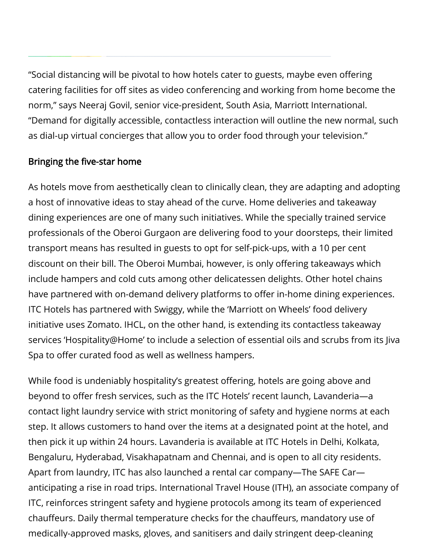"Social distancing will be pivotal to how hotels cater to guests, maybe even offering catering facilities for off sites as video conferencing and working from home become the norm," says Neeraj Govil, senior vice-president, South Asia, Marriott International. "Demand for digitally accessible, contactless interaction will outline the new normal, such as dial-up virtual concierges that allow you to order food through your television."

### Bringing the five-star home

As hotels move from aesthetically clean to clinically clean, they are adapting and adopting a host of innovative ideas to stay ahead of the curve. Home deliveries and takeaway dining experiences are one of many such initiatives. While the specially trained service professionals of the Oberoi Gurgaon are delivering food to your doorsteps, their limited transport means has resulted in guests to opt for self-pick-ups, with a 10 per cent discount on their bill. The Oberoi Mumbai, however, is only offering takeaways which include hampers and cold cuts among other delicatessen delights. Other hotel chains have partnered with on-demand delivery platforms to offer in-home dining experiences. ITC Hotels has partnered with Swiggy, while the 'Marriott on Wheels' food delivery initiative uses Zomato. IHCL, on the other hand, is extending its contactless takeaway services 'Hospitality@Home' to include a selection of essential oils and scrubs from its Jiva Spa to offer curated food as well as wellness hampers.

While food is undeniably hospitality's greatest offering, hotels are going above and beyond to offer fresh services, such as the ITC Hotels' recent launch, Lavanderia—a contact light laundry service with strict monitoring of safety and hygiene norms at each step. It allows customers to hand over the items at a designated point at the hotel, and then pick it up within 24 hours. Lavanderia is available at ITC Hotels in Delhi, Kolkata, Bengaluru, Hyderabad, Visakhapatnam and Chennai, and is open to all city residents. Apart from laundry, ITC has also launched a rental car company—The SAFE Car anticipating a rise in road trips. International Travel House (ITH), an associate company of ITC, reinforces stringent safety and hygiene protocols among its team of experienced chauffeurs. Daily thermal temperature checks for the chauffeurs, mandatory use of medically-approved masks, gloves, and sanitisers and daily stringent deep-cleaning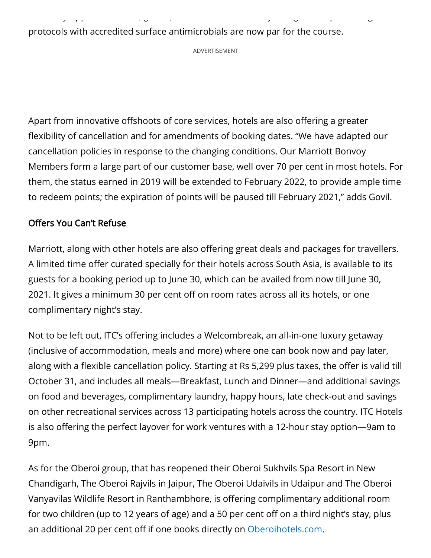protocols with accredited surface antimicrobials are now par for the course.

ADVERTISEMENT

y pp , g , y g p g

Apart from innovative offshoots of core services, hotels are also offering a greater flexibility of cancellation and for amendments of booking dates. "We have adapted our cancellation policies in response to the changing conditions. Our Marriott Bonvoy Members form a large part of our customer base, well over 70 per cent in most hotels. For them, the status earned in 2019 will be extended to February 2022, to provide ample time to redeem points; the expiration of points will be paused till February 2021," adds Govil.

#### Offers You Can't Refuse

Marriott, along with other hotels are also offering great deals and packages for travellers. A limited time offer curated specially for their hotels across South Asia, is available to its guests for a booking period up to June 30, which can be availed from now till June 30, 2021. It gives a minimum 30 per cent off on room rates across all its hotels, or one complimentary night's stay.

Not to be left out, ITC's offering includes a Welcombreak, an all-in-one luxury getaway (inclusive of accommodation, meals and more) where one can book now and pay later, along with a flexible cancellation policy. Starting at Rs 5,299 plus taxes, the offer is valid till October 31, and includes all meals—Breakfast, Lunch and Dinner—and additional savings on food and beverages, complimentary laundry, happy hours, late check-out and savings on other recreational services across 13 participating hotels across the country. ITC Hotels is also offering the perfect layover for work ventures with a 12-hour stay option—9am to 9pm.

As for the Oberoi group, that has reopened their Oberoi Sukhvils Spa Resort in New Chandigarh, The Oberoi Rajvils in Jaipur, The Oberoi Udaivils in Udaipur and The Oberoi Vanyavilas Wildlife Resort in Ranthambhore, is offering complimentary additional room for two children (up to 12 years of age) and a 50 per cent off on a third night's stay, plus an additional 20 per cent off if one books directly on [Oberoihotels.com.](http://oberoihotels.com/)